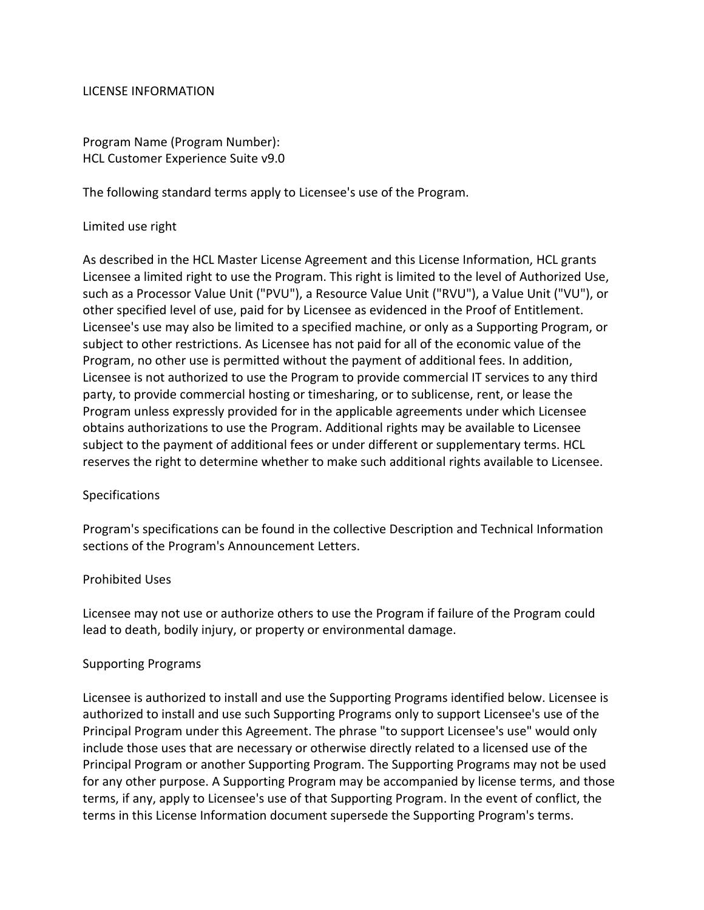## LICENSE INFORMATION

Program Name (Program Number): HCL Customer Experience Suite v9.0

The following standard terms apply to Licensee's use of the Program.

#### Limited use right

As described in the HCL Master License Agreement and this License Information, HCL grants Licensee a limited right to use the Program. This right is limited to the level of Authorized Use, such as a Processor Value Unit ("PVU"), a Resource Value Unit ("RVU"), a Value Unit ("VU"), or other specified level of use, paid for by Licensee as evidenced in the Proof of Entitlement. Licensee's use may also be limited to a specified machine, or only as a Supporting Program, or subject to other restrictions. As Licensee has not paid for all of the economic value of the Program, no other use is permitted without the payment of additional fees. In addition, Licensee is not authorized to use the Program to provide commercial IT services to any third party, to provide commercial hosting or timesharing, or to sublicense, rent, or lease the Program unless expressly provided for in the applicable agreements under which Licensee obtains authorizations to use the Program. Additional rights may be available to Licensee subject to the payment of additional fees or under different or supplementary terms. HCL reserves the right to determine whether to make such additional rights available to Licensee.

## **Specifications**

Program's specifications can be found in the collective Description and Technical Information sections of the Program's Announcement Letters.

## Prohibited Uses

Licensee may not use or authorize others to use the Program if failure of the Program could lead to death, bodily injury, or property or environmental damage.

## Supporting Programs

Licensee is authorized to install and use the Supporting Programs identified below. Licensee is authorized to install and use such Supporting Programs only to support Licensee's use of the Principal Program under this Agreement. The phrase "to support Licensee's use" would only include those uses that are necessary or otherwise directly related to a licensed use of the Principal Program or another Supporting Program. The Supporting Programs may not be used for any other purpose. A Supporting Program may be accompanied by license terms, and those terms, if any, apply to Licensee's use of that Supporting Program. In the event of conflict, the terms in this License Information document supersede the Supporting Program's terms.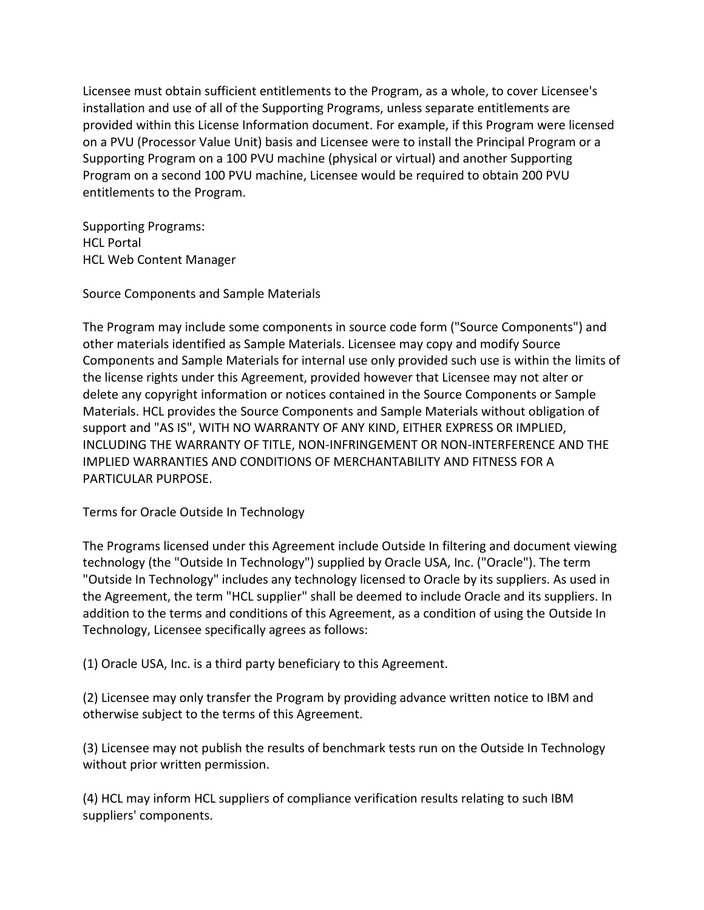Licensee must obtain sufficient entitlements to the Program, as a whole, to cover Licensee's installation and use of all of the Supporting Programs, unless separate entitlements are provided within this License Information document. For example, if this Program were licensed on a PVU (Processor Value Unit) basis and Licensee were to install the Principal Program or a Supporting Program on a 100 PVU machine (physical or virtual) and another Supporting Program on a second 100 PVU machine, Licensee would be required to obtain 200 PVU entitlements to the Program.

Supporting Programs: HCL Portal HCL Web Content Manager

Source Components and Sample Materials

The Program may include some components in source code form ("Source Components") and other materials identified as Sample Materials. Licensee may copy and modify Source Components and Sample Materials for internal use only provided such use is within the limits of the license rights under this Agreement, provided however that Licensee may not alter or delete any copyright information or notices contained in the Source Components or Sample Materials. HCL provides the Source Components and Sample Materials without obligation of support and "AS IS", WITH NO WARRANTY OF ANY KIND, EITHER EXPRESS OR IMPLIED, INCLUDING THE WARRANTY OF TITLE, NON-INFRINGEMENT OR NON-INTERFERENCE AND THE IMPLIED WARRANTIES AND CONDITIONS OF MERCHANTABILITY AND FITNESS FOR A PARTICULAR PURPOSE.

Terms for Oracle Outside In Technology

The Programs licensed under this Agreement include Outside In filtering and document viewing technology (the "Outside In Technology") supplied by Oracle USA, Inc. ("Oracle"). The term "Outside In Technology" includes any technology licensed to Oracle by its suppliers. As used in the Agreement, the term "HCL supplier" shall be deemed to include Oracle and its suppliers. In addition to the terms and conditions of this Agreement, as a condition of using the Outside In Technology, Licensee specifically agrees as follows:

(1) Oracle USA, Inc. is a third party beneficiary to this Agreement.

(2) Licensee may only transfer the Program by providing advance written notice to IBM and otherwise subject to the terms of this Agreement.

(3) Licensee may not publish the results of benchmark tests run on the Outside In Technology without prior written permission.

(4) HCL may inform HCL suppliers of compliance verification results relating to such IBM suppliers' components.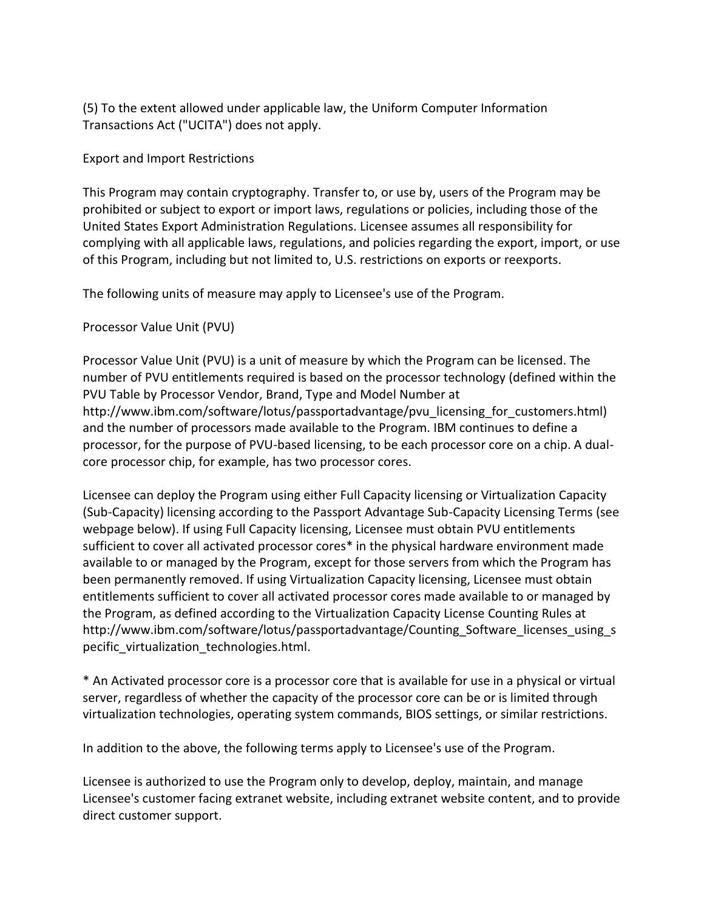(5) To the extent allowed under applicable law, the Uniform Computer Information Transactions Act ("UCITA") does not apply.

## Export and Import Restrictions

This Program may contain cryptography. Transfer to, or use by, users of the Program may be prohibited or subject to export or import laws, regulations or policies, including those of the United States Export Administration Regulations. Licensee assumes all responsibility for complying with all applicable laws, regulations, and policies regarding the export, import, or use of this Program, including but not limited to, U.S. restrictions on exports or reexports.

The following units of measure may apply to Licensee's use of the Program.

# Processor Value Unit (PVU)

Processor Value Unit (PVU) is a unit of measure by which the Program can be licensed. The number of PVU entitlements required is based on the processor technology (defined within the PVU Table by Processor Vendor, Brand, Type and Model Number at http://www.ibm.com/software/lotus/passportadvantage/pvu\_licensing\_for\_customers.html) and the number of processors made available to the Program. IBM continues to define a processor, for the purpose of PVU-based licensing, to be each processor core on a chip. A dualcore processor chip, for example, has two processor cores.

Licensee can deploy the Program using either Full Capacity licensing or Virtualization Capacity (Sub-Capacity) licensing according to the Passport Advantage Sub-Capacity Licensing Terms (see webpage below). If using Full Capacity licensing, Licensee must obtain PVU entitlements sufficient to cover all activated processor cores\* in the physical hardware environment made available to or managed by the Program, except for those servers from which the Program has been permanently removed. If using Virtualization Capacity licensing, Licensee must obtain entitlements sufficient to cover all activated processor cores made available to or managed by the Program, as defined according to the Virtualization Capacity License Counting Rules at http://www.ibm.com/software/lotus/passportadvantage/Counting\_Software\_licenses\_using\_s pecific\_virtualization\_technologies.html.

\* An Activated processor core is a processor core that is available for use in a physical or virtual server, regardless of whether the capacity of the processor core can be or is limited through virtualization technologies, operating system commands, BIOS settings, or similar restrictions.

In addition to the above, the following terms apply to Licensee's use of the Program.

Licensee is authorized to use the Program only to develop, deploy, maintain, and manage Licensee's customer facing extranet website, including extranet website content, and to provide direct customer support.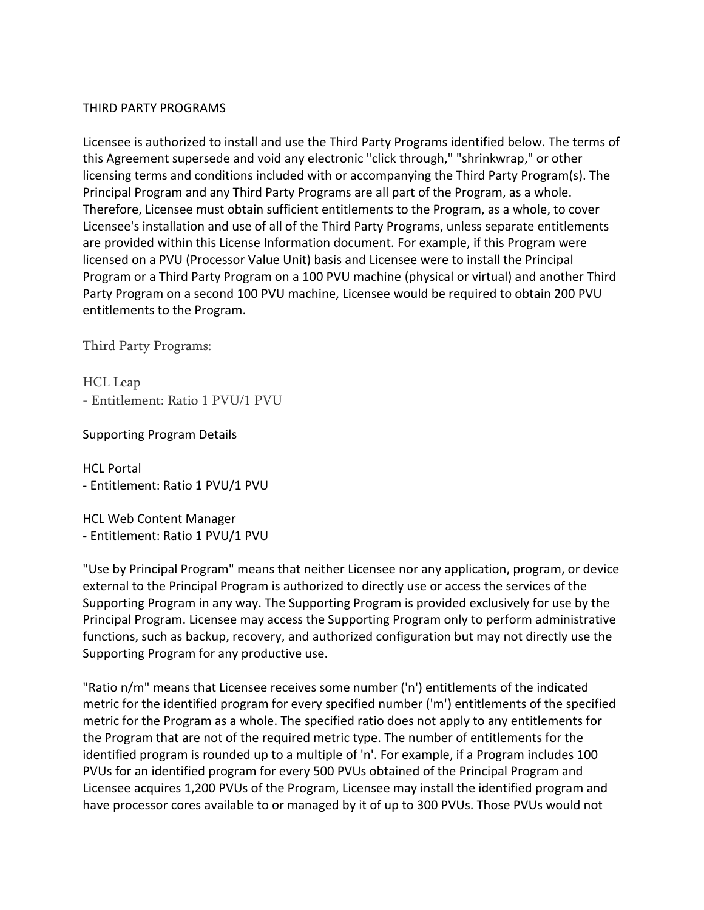#### THIRD PARTY PROGRAMS

Licensee is authorized to install and use the Third Party Programs identified below. The terms of this Agreement supersede and void any electronic "click through," "shrinkwrap," or other licensing terms and conditions included with or accompanying the Third Party Program(s). The Principal Program and any Third Party Programs are all part of the Program, as a whole. Therefore, Licensee must obtain sufficient entitlements to the Program, as a whole, to cover Licensee's installation and use of all of the Third Party Programs, unless separate entitlements are provided within this License Information document. For example, if this Program were licensed on a PVU (Processor Value Unit) basis and Licensee were to install the Principal Program or a Third Party Program on a 100 PVU machine (physical or virtual) and another Third Party Program on a second 100 PVU machine, Licensee would be required to obtain 200 PVU entitlements to the Program.

Third Party Programs:

HCL Leap - Entitlement: Ratio 1 PVU/1 PVU

Supporting Program Details

HCL Portal - Entitlement: Ratio 1 PVU/1 PVU

HCL Web Content Manager - Entitlement: Ratio 1 PVU/1 PVU

"Use by Principal Program" means that neither Licensee nor any application, program, or device external to the Principal Program is authorized to directly use or access the services of the Supporting Program in any way. The Supporting Program is provided exclusively for use by the Principal Program. Licensee may access the Supporting Program only to perform administrative functions, such as backup, recovery, and authorized configuration but may not directly use the Supporting Program for any productive use.

"Ratio n/m" means that Licensee receives some number ('n') entitlements of the indicated metric for the identified program for every specified number ('m') entitlements of the specified metric for the Program as a whole. The specified ratio does not apply to any entitlements for the Program that are not of the required metric type. The number of entitlements for the identified program is rounded up to a multiple of 'n'. For example, if a Program includes 100 PVUs for an identified program for every 500 PVUs obtained of the Principal Program and Licensee acquires 1,200 PVUs of the Program, Licensee may install the identified program and have processor cores available to or managed by it of up to 300 PVUs. Those PVUs would not